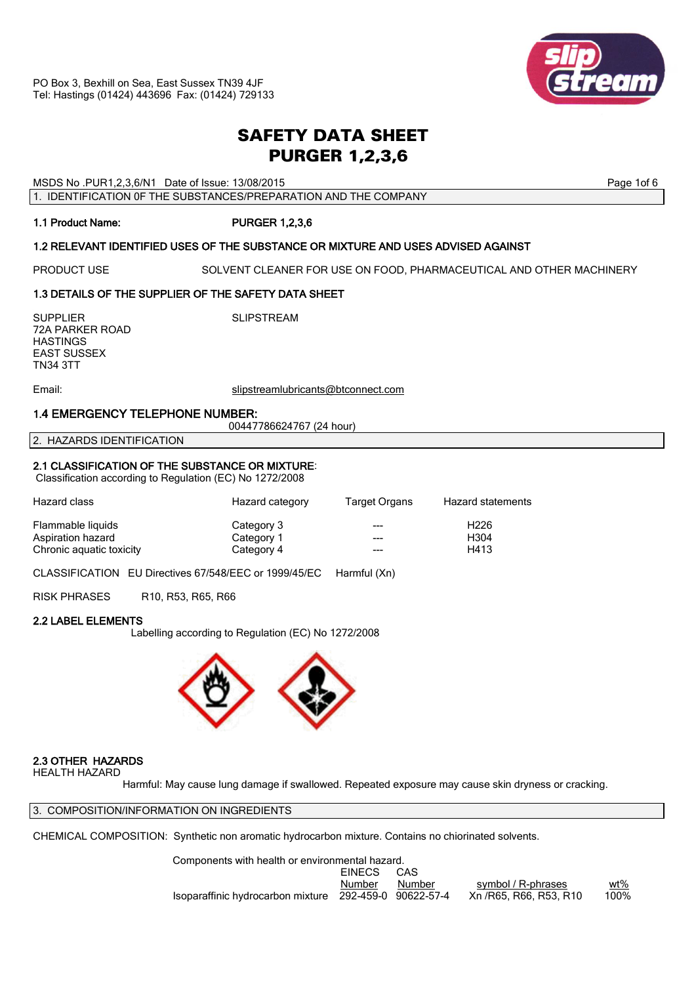# *SAFETY DATA SHEET PURGER 1,2,3,6*

MSDS No .PUR1,2,3,6/N1 Date of Issue: 13/08/2015 **Page 1of 6** and the end of the end of 6

1. IDENTIFICATION 0F THE SUBSTANCES/PREPARATION AND THE COMPANY

## 1.1 Product Name: PURGER 1,2,3,6

## 1.2 RELEVANT IDENTIFIED USES OF THE SUBSTANCE OR MIXTURE AND USES ADVISED AGAINST

PRODUCT USE SOLVENT CLEANER FOR USE ON FOOD, PHARMACEUTICAL AND OTHER MACHINERY

## 1.3 DETAILS OF THE SUPPLIER OF THE SAFETY DATA SHEET

SUPPLIER SUPPLIER SUPPLIER 72A PARKER ROAD **HASTINGS** EAST SUSSEX TN34 3TT

Email: slipstreamlubricants@btconnect.com

## 1.4 EMERGENCY TELEPHONE NUMBER:

00447786624767 (24 hour)

2. HAZARDS IDENTIFICATION

## 2.1 CLASSIFICATION OF THE SUBSTANCE OR MIXTURE:

Classification according to Regulation (EC) No 1272/2008

| Hazard class             | Hazard category | Target Organs | Hazard statements |
|--------------------------|-----------------|---------------|-------------------|
| Flammable liquids        | Category 3      | $- - -$       | H <sub>226</sub>  |
| Aspiration hazard        | Category 1      | $- - -$       | H <sub>304</sub>  |
| Chronic aquatic toxicity | Category 4      |               | H413              |

CLASSIFICATION EU Directives 67/548/EEC or 1999/45/EC Harmful (Xn)

RISK PHRASES R10, R53, R65, R66

## 2.2 LABEL ELEMENTS

Labelling according to Regulation (EC) No 1272/2008



## 2.3 OTHER HAZARDS

HEALTH HAZARD

Harmful: May cause lung damage if swallowed. Repeated exposure may cause skin dryness or cracking.

3. COMPOSITION/INFORMATION ON INGREDIENTS

CHEMICAL COMPOSITION: Synthetic non aromatic hydrocarbon mixture. Contains no chiorinated solvents.

 Components with health or environmental hazard. EINECS CAS Number Number symbol / R-phrases wt% Isoparaffinic hydrocarbon mixture 292-459-0 90622-57-4 Xn /R65, R66, R53, R10 100%

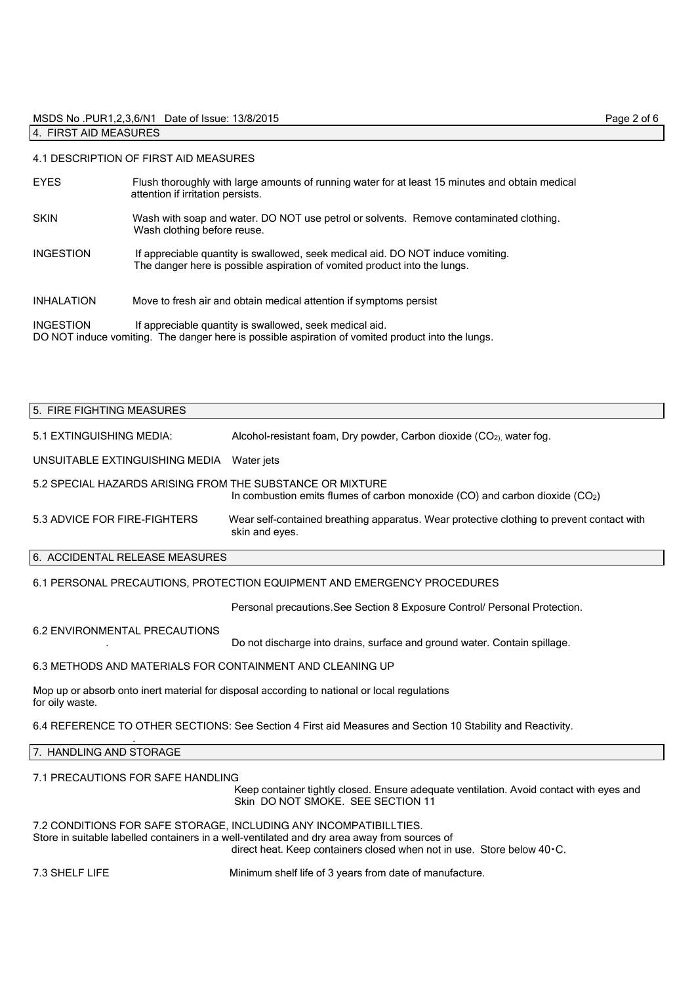#### MSDS No .PUR1,2,3,6/N1 Date of Issue: 13/8/2015 Page 2 of 6 4. FIRST AID MEASURES

#### 4.1 DESCRIPTION OF FIRST AID MEASURES

| <b>EYES</b>       | Flush thoroughly with large amounts of running water for at least 15 minutes and obtain medical<br>attention if irritation persists.                         |
|-------------------|--------------------------------------------------------------------------------------------------------------------------------------------------------------|
| <b>SKIN</b>       | Wash with soap and water. DO NOT use petrol or solvents. Remove contaminated clothing.<br>Wash clothing before reuse.                                        |
| <b>INGESTION</b>  | If appreciable quantity is swallowed, seek medical aid. DO NOT induce vomiting.<br>The danger here is possible aspiration of vomited product into the lungs. |
| <b>INHALATION</b> | Move to fresh air and obtain medical attention if symptoms persist                                                                                           |
| <b>INGESTION</b>  | If appreciable quantity is swallowed, seek medical aid.<br>DO NOT induce vomiting. The danger here is possible aspiration of vomited product into the lungs. |

# 5. FIRE FIGHTING MEASURES 5.1 EXTINGUISHING MEDIA: Alcohol-resistant foam, Dry powder, Carbon dioxide (CO<sub>2)</sub>, water fog.

UNSUITABLE EXTINGUISHING MEDIA Water jets

5.2 SPECIAL HAZARDS ARISING FROM THE SUBSTANCE OR MIXTURE In combustion emits flumes of carbon monoxide  $(CO)$  and carbon dioxide  $(CO<sub>2</sub>)$ 

5.3 ADVICE FOR FIRE-FIGHTERS Wear self-contained breathing apparatus. Wear protective clothing to prevent contact with skin and eyes.

## 6. ACCIDENTAL RELEASE MEASURES

#### 6.1 PERSONAL PRECAUTIONS, PROTECTION EQUIPMENT AND EMERGENCY PROCEDURES

Personal precautions.See Section 8 Exposure Control/ Personal Protection.

#### 6.2 ENVIRONMENTAL PRECAUTIONS

. Do not discharge into drains, surface and ground water. Contain spillage.

#### 6.3 METHODS AND MATERIALS FOR CONTAINMENT AND CLEANING UP

Mop up or absorb onto inert material for disposal according to national or local regulations for oily waste.

6.4 REFERENCE TO OTHER SECTIONS: See Section 4 First aid Measures and Section 10 Stability and Reactivity.

#### 7. HANDLING AND STORAGE

.

#### 7.1 PRECAUTIONS FOR SAFE HANDLING

 Keep container tightly closed. Ensure adequate ventilation. Avoid contact with eyes and Skin DO NOT SMOKE. SEE SECTION 11

7.2 CONDITIONS FOR SAFE STORAGE, INCLUDING ANY INCOMPATIBILLTIES. Store in suitable labelled containers in a well-ventilated and dry area away from sources of direct heat. Keep containers closed when not in use. Store below 40.C.

7.3 SHELF LIFE Minimum shelf life of 3 years from date of manufacture.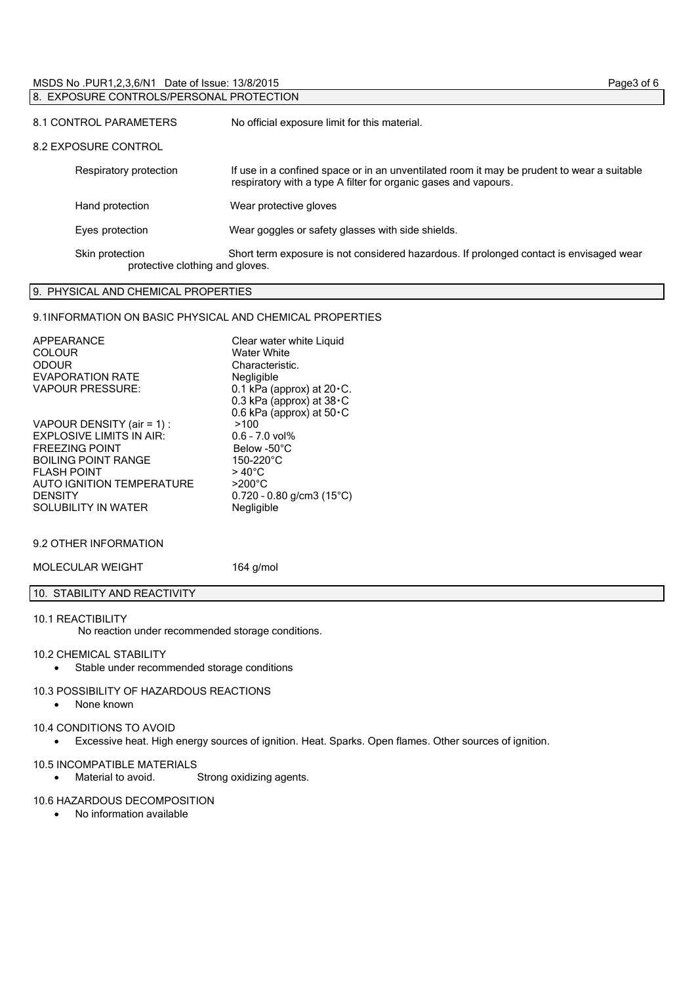| MSDS No. PUR1, 2, 3, 6/N1 Date of Issue: 13/8/2015 | Page3 of 6 |
|----------------------------------------------------|------------|
| 8. EXPOSURE CONTROLS/PERSONAL PROTECTION           |            |
|                                                    |            |

| 8.1 CONTROL PARAMETERS                             | No official exposure limit for this material.                                                                                                                 |  |
|----------------------------------------------------|---------------------------------------------------------------------------------------------------------------------------------------------------------------|--|
| 8.2 EXPOSURE CONTROL                               |                                                                                                                                                               |  |
| Respiratory protection                             | If use in a confined space or in an unventilated room it may be prudent to wear a suitable<br>respiratory with a type A filter for organic gases and vapours. |  |
| Hand protection                                    | Wear protective gloves                                                                                                                                        |  |
| Eyes protection                                    | Wear goggles or safety glasses with side shields.                                                                                                             |  |
| Skin protection<br>protective clothing and gloves. | Short term exposure is not considered hazardous. If prolonged contact is envisaged wear                                                                       |  |

## 9. PHYSICAL AND CHEMICAL PROPERTIES

## 9.1INFORMATION ON BASIC PHYSICAL AND CHEMICAL PROPERTIES

| APPEARANCE<br><b>COLOUR</b><br><b>ODOUR</b><br><b>EVAPORATION RATE</b><br><b>VAPOUR PRESSURE:</b> | Clear water white Liquid<br><b>Water White</b><br>Characteristic.<br>Negligible<br>0.1 kPa (approx) at 20 · C.<br>0.3 kPa (approx) at $38 \cdot C$<br>0.6 kPa (approx) at $50 \cdot C$ |
|---------------------------------------------------------------------------------------------------|----------------------------------------------------------------------------------------------------------------------------------------------------------------------------------------|
| VAPOUR DENSITY (air = 1) :                                                                        | >100                                                                                                                                                                                   |
| <b>EXPLOSIVE LIMITS IN AIR:</b>                                                                   | $0.6 - 7.0$ vol%                                                                                                                                                                       |
| <b>FREEZING POINT</b>                                                                             | Below -50°C                                                                                                                                                                            |
| <b>BOILING POINT RANGE</b>                                                                        | 150-220°C                                                                                                                                                                              |
| <b>FI ASH POINT</b>                                                                               | $>40^{\circ}$ C                                                                                                                                                                        |
| AUTO IGNITION TEMPERATURE                                                                         | $>200^{\circ}$ C                                                                                                                                                                       |
| <b>DENSITY</b>                                                                                    | $0.720 - 0.80$ g/cm3 (15°C)                                                                                                                                                            |
| <b>SOLUBILITY IN WATER</b>                                                                        | Negligible                                                                                                                                                                             |

## 9.2 OTHER INFORMATION

MOLECULAR WEIGHT 164 g/mol

## 10. STABILITY AND REACTIVITY

## 10.1 REACTIBILITY

No reaction under recommended storage conditions.

## 10.2 CHEMICAL STABILITY

Stable under recommended storage conditions

#### 10.3 POSSIBILITY OF HAZARDOUS REACTIONS

• None known

## 10.4 CONDITIONS TO AVOID

Excessive heat. High energy sources of ignition. Heat. Sparks. Open flames. Other sources of ignition.

## 10.5 INCOMPATIBLE MATERIALS

Material to avoid. Strong oxidizing agents.

## 10.6 HAZARDOUS DECOMPOSITION

No information available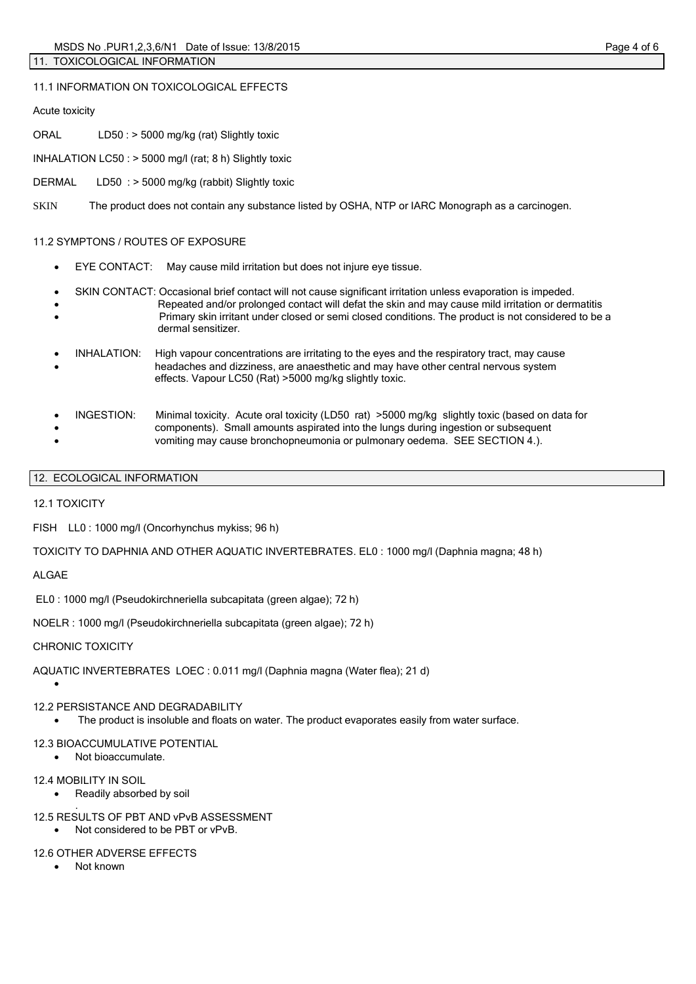Acute toxicity

ORAL LD50 : > 5000 mg/kg (rat) Slightly toxic

11.1 INFORMATION ON TOXICOLOGICAL EFFECTS

INHALATION LC50 : > 5000 mg/l (rat; 8 h) Slightly toxic

DERMAL LD50 : > 5000 mg/kg (rabbit) Slightly toxic

SKIN The product does not contain any substance listed by OSHA, NTP or IARC Monograph as a carcinogen.

## 11.2 SYMPTONS / ROUTES OF EXPOSURE

- EYE CONTACT: May cause mild irritation but does not injure eye tissue.
- SKIN CONTACT: Occasional brief contact will not cause significant irritation unless evaporation is impeded.
- Repeated and/or prolonged contact will defat the skin and may cause mild irritation or dermatitis Primary skin irritant under closed or semi closed conditions. The product is not considered to be a dermal sensitizer.
- INHALATION: High vapour concentrations are irritating to the eyes and the respiratory tract, may cause headaches and dizziness, are anaesthetic and may have other central nervous system effects. Vapour LC50 (Rat) >5000 mg/kg slightly toxic.
- INGESTION: Minimal toxicity. Acute oral toxicity (LD50 rat) >5000 mg/kg slightly toxic (based on data for components). Small amounts aspirated into the lungs during ingestion or subsequent vomiting may cause bronchopneumonia or pulmonary oedema. SEE SECTION 4.).
- 12. ECOLOGICAL INFORMATION

12.1 TOXICITY

FISH LL0 : 1000 mg/l (Oncorhynchus mykiss; 96 h)

TOXICITY TO DAPHNIA AND OTHER AQUATIC INVERTEBRATES. EL0 : 1000 mg/l (Daphnia magna; 48 h)

ALGAE

 $\bullet$ 

EL0 : 1000 mg/l (Pseudokirchneriella subcapitata (green algae); 72 h)

NOELR : 1000 mg/l (Pseudokirchneriella subcapitata (green algae); 72 h)

## CHRONIC TOXICITY

AQUATIC INVERTEBRATES LOEC : 0.011 mg/l (Daphnia magna (Water flea); 21 d)

## 12.2 PERSISTANCE AND DEGRADABILITY

The product is insoluble and floats on water. The product evaporates easily from water surface.

## 12.3 BIOACCUMULATIVE POTENTIAL

Not bioaccumulate.

## 12.4 MOBILITY IN SOIL

- Readily absorbed by soil .
- 12.5 RESULTS OF PBT AND vPvB ASSESSMENT
	- Not considered to be PBT or vPvB.

## 12.6 OTHER ADVERSE EFFECTS

• Not known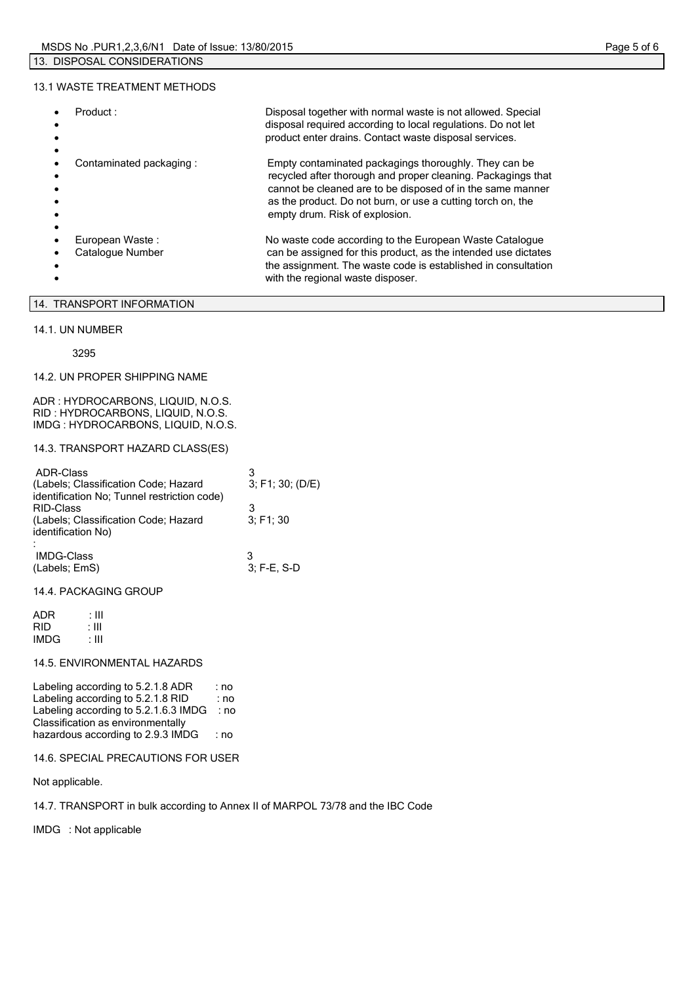#### 13.1 WASTE TREATMENT METHODS

| Product:                            | Disposal together with normal waste is not allowed. Special<br>disposal required according to local regulations. Do not let<br>product enter drains. Contact waste disposal services.                                                                                                |
|-------------------------------------|--------------------------------------------------------------------------------------------------------------------------------------------------------------------------------------------------------------------------------------------------------------------------------------|
| Contaminated packaging:             | Empty contaminated packagings thoroughly. They can be<br>recycled after thorough and proper cleaning. Packagings that<br>cannot be cleaned are to be disposed of in the same manner<br>as the product. Do not burn, or use a cutting torch on, the<br>empty drum. Risk of explosion. |
| European Waste:<br>Catalogue Number | No waste code according to the European Waste Catalogue<br>can be assigned for this product, as the intended use dictates<br>the assignment. The waste code is established in consultation<br>with the regional waste disposer.                                                      |

## 14. TRANSPORT INFORMATION

#### 14.1. UN NUMBER

3295

#### 14.2. UN PROPER SHIPPING NAME

ADR : HYDROCARBONS, LIQUID, N.O.S. RID : HYDROCARBONS, LIQUID, N.O.S. IMDG : HYDROCARBONS, LIQUID, N.O.S.

#### 14.3. TRANSPORT HAZARD CLASS(ES)

| ADR-Class<br>(Labels; Classification Code; Hazard<br>identification No; Tunnel restriction code) | 3; F1; 30; (D/E) |
|--------------------------------------------------------------------------------------------------|------------------|
| <b>RID-Class</b><br>(Labels; Classification Code; Hazard                                         | 3: F1: 30        |
| identification No)<br><b>IMDG-Class</b><br>(Labels; EmS)                                         | 3: F-E. S-D      |

#### 14.4. PACKAGING GROUP

| ADR        | : III |
|------------|-------|
| <b>RID</b> | : III |
| IMDG       | : III |

#### 14.5. ENVIRONMENTAL HAZARDS

Labeling according to 5.2.1.8 ADR : no Labeling according to 5.2.1.8 RID : no Labeling according to 5.2.1.6.3 IMDG : no Classification as environmentally hazardous according to 2.9.3 IMDG : no

#### 14.6. SPECIAL PRECAUTIONS FOR USER

Not applicable.

14.7. TRANSPORT in bulk according to Annex II of MARPOL 73/78 and the IBC Code

IMDG : Not applicable